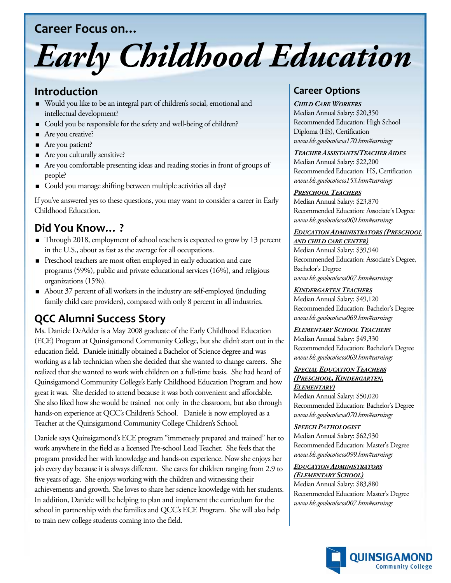## **Career Focus on…**

# *Early Childhood Education*

# **Introduction**

- Would you like to be an integral part of children's social, emotional and intellectual development?
- Could you be responsible for the safety and well-being of children?
- Are you creative?
- Are you patient?
- Are you culturally sensitive?
- Are you comfortable presenting ideas and reading stories in front of groups of people?
- Could you manage shifting between multiple activities all day?

If you've answered yes to these questions, you may want to consider a career in Early Childhood Education.

# **Did You Know… ?**

- Through 2018, employment of school teachers is expected to grow by 13 percent in the U.S., about as fast as the average for all occupations.
- Preschool teachers are most often employed in early education and care programs (59%), public and private educational services (16%), and religious organizations (15%).
- About 37 percent of all workers in the industry are self-employed (including family child care providers), compared with only 8 percent in all industries.

# **QCC Alumni Success Story**

Ms. Daniele DeAdder is a May 2008 graduate of the Early Childhood Education (ECE) Program at Quinsigamond Community College, but she didn't start out in the education field. Daniele initially obtained a Bachelor of Science degree and was working as a lab technician when she decided that she wanted to change careers. She realized that she wanted to work with children on a full-time basis. She had heard of Quinsigamond Community College's Early Childhood Education Program and how great it was. She decided to attend because it was both convenient and affordable. She also liked how she would be trained not only in the classroom, but also through hands-on experience at QCC's Children's School. Daniele is now employed as a Teacher at the Quinsigamond Community College Children's School.

Daniele says Quinsigamond's ECE program "immensely prepared and trained" her to work anywhere in the field as a licensed Pre-school Lead Teacher. She feels that the program provided her with knowledge and hands-on experience. Now she enjoys her job every day because it is always different. She cares for children ranging from 2.9 to five years of age. She enjoys working with the children and witnessing their achievements and growth. She loves to share her science knowledge with her students. In addition, Daniele will be helping to plan and implement the curriculum for the school in partnership with the families and QCC's ECE Program. She will also help to train new college students coming into the field.

# **Career Options**

#### *CHILD CARE WORKERS*

Median Annual Salary: \$20,350 Recommended Education: High School Diploma (HS), Certification *www.bls.gov/oco/ocos170.htm#earnings* 

#### *TEACHER ASSISTANTS/TEACHER AIDES*

Median Annual Salary: \$22,200 Recommended Education: HS, Certification *www.bls.gov/oco/ocos153.htm#earnings* 

#### *PRESCHOOL TEACHERS*

Median Annual Salary: \$23,870 Recommended Education: Associate's Degree *www.bls.gov/oco/ocos069.htm#earnings* 

#### *EDUCATION ADMINISTRATORS (PRESCHOOL AND CHILD CARE CENTER)*

Median Annual Salary: \$39,940 Recommended Education: Associate's Degree, Bachelor's Degree *www.bls.gov/oco/ocos007.htm#earnings* 

*KINDERGARTEN TEACHERS* Median Annual Salary: \$49,120 Recommended Education: Bachelor's Degree *www.bls.gov/oco/ocos069.htm#earnings* 

#### *ELEMENTARY SCHOOL TEACHERS*

Median Annual Salary: \$49,330 Recommended Education: Bachelor's Degree *www.bls.gov/oco/ocos069.htm#earnings* 

### *SPECIAL EDUCATION TEACHERS*

#### *(PRESCHOOL, KINDERGARTEN, ELEMENTARY)*

Median Annual Salary: \$50,020 Recommended Education: Bachelor's Degree *www.bls.gov/oco/ocos070.htm#earnings* 

#### *SPEECH PATHOLOGIST*

Median Annual Salary: \$62,930 Recommended Education: Master's Degree *www.bls.gov/oco/ocos099.htm#earnings* 

#### *EDUCATION ADMINISTRATORS*

*(ELEMENTARY SCHOOL)*  Median Annual Salary: \$83,880 Recommended Education: Master's Degree *www.bls.gov/oco/ocos007.htm#earnings*